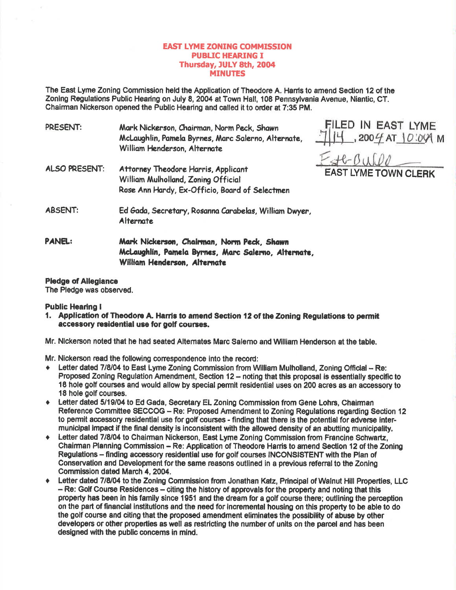# **EAST LYME ZONING COMMISSION** PUBUC HEARING I Thursday, JULY 8th, 2004 **MINUTES**

The East Lyme Zoning Commission held the Application of Theodore A. Harris to amend Section 12 of the Zoning Regulations Public Heanng on July 8, 2004 at Town Hall, 108 Pennsylvania Avenue, Niantic, CT. Chairman Nickerson opened the Public Hearing and called it to order at 7:35 PM.

PRESENT: Mark Nickerson, Chairman, Norm Peck, Shawn McLaughlin, Pamela Byrnes, Marc Salerno, Alternate, William Henderson, Alternate

EILED IN EAST LYME  $111$  , 200  $4$  AT  $10.0$  /2 M

 $H-GULOO$ AST LYME TOWN CLERK

- ALSO PRESENT: Attorney Theodore Harris, Applicant William Mulholland, Zoning Official Rose Ann Hardy, Ex-Officio, Board of Selectmen
- ABSENT: Ed 6odo, Secretory. Rosonno Corobelos, Williom Dwyen, Alternate
- PANEL: Mark Nickerson, Chairman, Norm Peck, Shawn McLaughlin, Pamela Byrnes, Marc Salerno, Alternate, William Henderson, Alternate

## **Pledge of Allegiance**

The Pledge was observed.

## **Public Hearing I**

- 1. Application of Theodore A. Harris to amend Section 12 of the Zoning Regulations to permit accessory residential use for golf courses.
- Mr. Nlckerson noted that he had seated Altemetes Marc Salemo and Wlliam Henderson et the table.

Mr. Nickerson read the following correspondence into the record:

- ◆ Letter dated 7/8/04 to East Lyme Zoning Commission from William Mulholland, Zoning Official Re: Proposed Zoning Regulation Amendment, Section  $12 -$  noting that this proposal is essentially specific to 18 hole golf coursee and would allow by special permlt tesidential uses on 200 acres as an accessory to 18 hole golf courses.
- Letter dated 5/19/04 to Ed Gada, Secretary EL Zoning Commission from Gene Lohrs, Chairman Reference Committee SECCOG - Re: Proposed Amendment to Zoning Regulations regarding Section 12 to permit accessory residential use for golf courses - finding that there is the potential for adverse intermunicipal impact if the final density is inconsistent with the allowed density of an abutting municipality,
- Letter dated 7/8/04 to Chairman Nickerson, East Lyme Zoning Commission from Francine Schwartz, Chairman Planning Commission - Re: Application of Theodore Harris to amend Section 12 of the Zoning Regulations - finding accessory residential use for golf courses INCONSISTENT with the Plan of Conservation and Development for the same reasons outlined in a previous referral to the Zoning Commlsslon dated March 4,2004.
- Letter dated 7/8/04 to the Zoning Commission from Jonathan Katz, Principal of Walnut Hill Properties, LLC - Re: Golf Course Residences - citing the history of approvals for the property and noting that this property has been in his family since 1951 and the dream for a golf coure there; outllning the perception on the part of financial institutlons and the need for lncremental housing on this property to be able to do the golf course and citing that the proposed amendment eliminates the possibility of abuse by other developers or other properties as well as restricting the number of units on the parcel and has been designed with the public concerns in mind.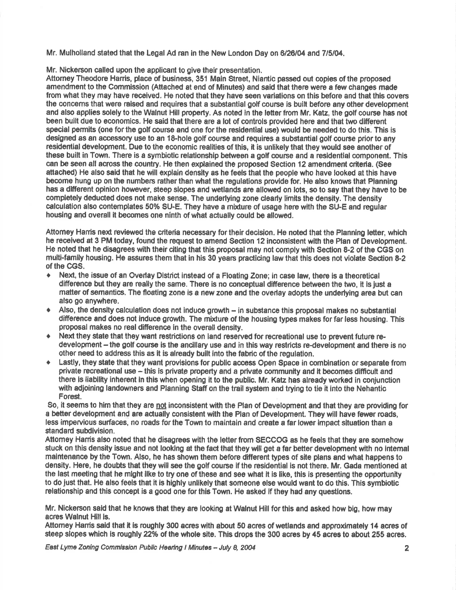Mr. Mulholland stated that the Legal Ad ran in the New London Day on 6/26/04 and 7/5/04.

Mr. Nickerson called upon the applicant to give their presentation.

Attorney Theodore Harris, place of business, 351 Main Street, Niantic passed out copies of the proposed amendment to the Commission (Attached at end of Minutes) and said that there were a few changes made from what they may have received. He noted that they have seen variations on this before and that this covers the concems thal were raieed and requires that a substantial golf course is built before any other development and also applies solely to the Walnut Hill property. As noted in the letter from Mr. Katz, the golf course has not been built due to economics. He said that there are a lot of controls provided here and that two different special permits (one forthe golf course and one forthe resldential use) would be needed to do this. This is designed as an accessory use to an 18-hole golf course and requires a substantial golf course prior to any residential development. Due to the economic realities of this, it is unlikely that they would see another of these built in Town. There is a symbiotic relationship between a golf course and a residential component. This can be seen all across the country. He then explained the proposed Section 12 amendment criteria. (See attached) He also sald that he will explain density as he feels that the people who have looked at this have become hung up on the numbers rather than what the regulations provide for. He also knows that Planning has a different opinion however, steep slopes and wetlands are allowed on lots, so to say that they have to be completely deducted does not make sense. The underlying zone clearly limits the density. The density calculation also contemplates 50% SU-E. They have a mixture of usage here with the SU-E and regular housing end overall it becomes one ninth of what actually could be allowed.

Attomey Hamis next reviewed the criteria necessary for their decision. He noted that the Planning letter, which he received at 3 PM today, found the request to amend Section 12 inconsistent with the Plan of Development. He noted that he disagrees with their citing that this proposal may not comply with Section 8-2 of the CGS on multi-family housing. He assures them that in his 30 years practicing law that this does not violate Section 8-2<br>of the CGS.

- $\bullet$  Next, the issue of an Overlay District instead of a Floating Zone; in case law, there is a theoretical difference but they are really the same. There is no conceptual difference between the two, it is just a matter of semantics. The floating zone is a new zone and the overlay adopts the underlying area but can also go
- $\triangleq$  Also, the density calculation does not induce growth  $-$  in substance this proposal makes no substantial difference and does not induce growth. The mixture of the housing types makes for far less housing. This proposal makes no real difference in the overall density.
- Next they state that they want restrictions on land reserved for recreational use to prevent future redevelopment - the golf course is the ancillary use and in this way restricts re-development and there is no other need to address this as lt is already built into the fabric of the regulation.
- Lastly, they state that they want provisions for public access Open Space in combination or separate from private recreational use - this is private property and a private community and it becomes difficult and there is liability inherent in this when opening it to the public. Mr. Katz has already worked in conjunction with adjoining landowners and Planning Staff on the trail system and trying to tie it into the Nehantic Forest.

So, it seems to him that they are not inconsistent with the Plan of Development and that they are providing for a better development and are actually consistent with the Plan of Development. They will have fewer roads, less impervious surfaces, no roads for the Town to maintain and create a far lower impact situation than a standard subdivision.

Attomey Harris also noted that he disagrees with the letter from SECCOG as he feels that they are somehow stuck on this density issue and not looking at the fact that they will get a far better development with no intemal malfienance by the Town. Also, he has shown them before different types of site plans and what happens lo density. Here, he doubts that they will see the golf courso if the residential is not there. Mr. Gada mentioned at the last meeting that he might like to try one of these and see what it is like, this is presenting the opportunity to do just that. He also feels that it is highly unlikely that someone else would want to do this. This symbiotic relationship and this concept is a good one for this Town. He asked if they had any questions.

Mr. Nickerson said that he knows that they are looking at Walnut Hill for this and asked how big, how may ecres Walnut Hill is.

Attorney Harris said that it is roughly 300 acres with about 50 acres of wetlands and approximately 14 acres of steep slopes which is roughly 22% of the whole site. This drops the 300 acres by 45 acres to about 255 acres.

East Lyme Zoning Commission Public Hearing I Minutes - July 8, 2004 **Zimmun 2** 2004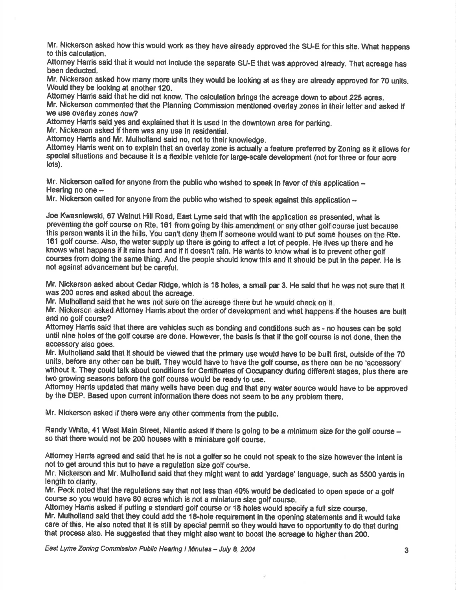Mr. Nickerson asked how this would work as they have already approved the SU-E for this site. What happens to this calculation.

Attorney Hanis said that it would not include the separate SU-E that was approved already. That acreage has been deducted.

Mr. Nickerson asked how many more units they would be looking at as they are already approved for 70 units. Would they be looking at another 120.

Attorney Harris said that he did not know. The calculation brings the acreage down to about 225 acres. Mr. Nickerson commented that the Planning Commission mentioned overlay zones in their letter and asked if we use overlay zones now?

Attomey Hanis said yes and explained that it is used in the downtown area for parking.

Mr. Nickerson asked if there was any use in residential.

Attorney Harris and Mr. Mulholland said no, not to their knowledge.

Attomey Hanis went on to explain that an overlay zone is actually a feature preferred by Zoning as it allows for special situations and because it is a flexible vehicle for large-scale development (not for three or four acre lots).

Mr. Nickerson called for anyone from the public who wished to speak in favor of this application  $-$ Hearing no one  $-$ 

Mr. Nickerson called for anyone from the publicwho wished to speak agalnst this application \*

Joe Kwasniewski, 67 Walnut Hill Road, East Lyme said that wlth the appllcation as presented, whet is preventing the golf course on Rte. 161 from going by this amendrnent or any other golf course just because this person wants it in the hills. You can't deny them if someone would want to put some houses on the Rte. 161 golf course. Also, the water supply up there is going to affect a lot of people. He lives up there and he knows what happens if it rains hard and if it doesn't rain. He wants to know what is to prevent other golf cour8es from doing the same thing. And the people should knowthis and it should be put in the paper. He ls not against advancement but be careful.

Mr. Nickenson asked about Gedar Ridge, which is 18 holes, a small par 3. He ssid that he was not sure that it was 200 acres and asked about the acreage.

Mr. Mulholland said that he was not sure on the acreage there but he would check on it.

Mr. Nickerson asked Attomey Hanis about the order of development and what happens if the houses are built and no golf oourse?

Attomey Harris said that there are vehicles such as bonding and conditions such as - no houses can be sold untll nine holes of the golf course are done. However, the basls is that if the golf course is not done, then the accessory also goes.

Mr. Mulholland said that it should be viewed that the primary use would have to be built first, outside of the 70 units, before any other can be built. They would have to have the golf course, as there can be no 'accessory' without it. They could talk about conditions for Certificates of Occupancy during different stages, plus there are two growing seasons before the golf course would be ready to use.

Attomey Harris updated that many wells have been dug and that any water source would have to be approved by the DEP. Based upon current information there does not seem to be any problem there.

Mr. Nickerson asked if there were any other comments from the public.

Randy White, 41 West Main Street, Niantic asked if there is going to be a minimum size for the golf course – so that there would not be 200 houses with a miniature golf course.

Attorney Harris agreed and said that he is not a golfer so he could not speak to the size however the intent is not to get around this hut to have a regulation size golf course.

Mr. Nickerson and Mr. Mulholland said that they might want to add 'yardage' language, such as 5500 yards in length to clarify.

Mr. Peck noted that the regulations say that not less than 40% would be dedicated to open space or a golf course so you would have 80 acres which is not a miniature size golf course.

Attomey Harris asked if putting a standard golf course or 18 holes would specify a full size course.

Mr. Mulholland said that they could add the 18-hole requirement in the opening statements and it would take care of this. He also noted that it is still by special permit so they would have to opportunity to do that during that process also. He suggested that they might also want to boost the acreage to higher than 200.

East Lyme Zoning Commission Public Hearing I Minutes - July 8, 2004 **Gallace Communist Communist Communist Communist Communist Communist Communist Communist Communist Communist Communist Communist Communist Communist Commu**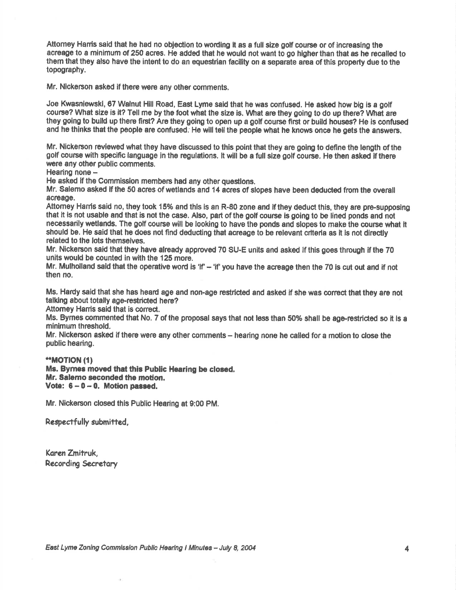Attomey Hanis said that he had no objection to wording it as a full size golf oourse or of increaslng the acreage to a minimum of 250 acres. He added that he would not want to go higher than that as he recalled to them that they also have the intent to do an questrian facility on a separate area of this property due to the topography.

Mr. Nickerson asked if there were any other comments.

Joe Kwasniewski, 67 Walnut Hill Road, East Lyme said that he was confused. He asked how big is a golf course? What size is it? Tell me by the foot what the size is. What are they going to do up there? What are they going to build up there firet? Are they going to open up a golf course firsl or build houses? He is oonfused and he thinks that the people are confused. He will tell the people what he knows once he gets the answers.

Mr. Nickerson reviewed what they have discussed to this point that they are going to define the length of the golf course with specific language in the regulations. It will be a full size golf course. He then asked if there were any other public comments.

Hearing none -

He asked if the Commission members had any other questions.

Mr. Salerno asked if the 50 acres of wetlands and 14 acres of slopes have been deducted from the overall screage.

Attomey Harris said no, they took 15% and this is an R-80 zone and if they deduct this, they are pre-supposing that it is not usable and that is not the case. Also, part of the golf course is going to be lined ponds and not necessarily wetlands. The golf course will be looking to have the ponds and slopes to make the course what it should be. He said that he does not find deducting that acreage to be relevant criteria as it is not directly related to the lots themselves.

Mr. Nickerson said that they have already approved 70 SU-E units and asked if this goes through if the 70 units would be counted in with the 125 more.

Mr. Mulholland said that the operative word is 'if'  $-$  'if' you have the acreage then the 70 is cut out and if not then no.

Ms. Hardy said that she has heard age and non-age restricted and asked if she was correct that they are not talking about totally age-restricted here?

Attomey Harris said that is correct.

Ms. Byrnes commented that No. 7 of the proposal says that not less than 50% shall be age-restricted so it is a minimum threshold.

Mr. Nickerson asked if there were any other comments - hearing none he called for a motion to close the public hearing.

#### \*.MOT|ON (t)

Ms. Byrnes moved that this Public Hearing be closed. Mr. Salemo geconded the motion. Vote:  $6-0-0$ . Motion passed.

Mr. Nickerson closed this Public Hearing at 9:00 PM.

Respectfully submitted,

Kqren Zmitruk, Recording Secretary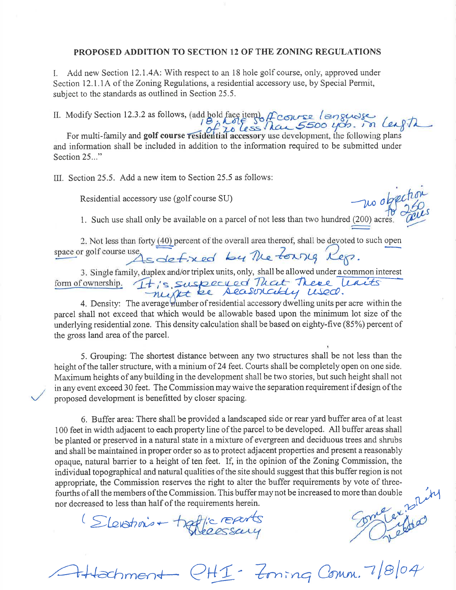## PROPOSED ADDITION TO SECTION 12 OF THE ZONING REGULATIONS

I. Add new Section 12.1.4A: With respect to an 18 hole golf course, only, approved under Section 12.1.1A of the Zoning Regulations, a residential accessory use, by Special Permit, subject to the standards as outlined in Section 25.5.

II. Modify Section 12.3.2 as follows, (add bold face item)  $\int$  couse  $\ell$  angu

For multi-family and golf course residential accessory use development, the following plans and information shall be included in addition to the information required to be submitted under Section 25..."

 $III.$  Section 25.5. Add a new item to Section 25.5 as follows:

Residential accessory use (golf course SU) -w0

1. Such use shall only be available on a parcel of not less than two hundred (200) acres

2. Not less than forty  $\underbrace{(40)}$  percent of the overall area thereof, shall be devoted to such open space or golf course use  $\leq$   $\leq$   $\leq$   $\leq$   $\leq$   $\leq$   $\leq$   $\leq$   $\leq$   $\leq$   $\leq$   $\leq$   $\leq$   $\leq$   $\leq$   $\leq$   $\leq$   $\leq$   $\leq$   $\leq$   $\leq$   $\leq$   $\leq$   $\leq$   $\leq$   $\leq$   $\leq$   $\leq$   $\leq$   $\leq$   $\leq$   $\leq$   $\leq$ 

ortriplex units, only, shall be allowed under a common interest<br>uspecued Theat There leases form of ownership. Aeastrichty used.

4. Density: The average number of residential accessory dwelling units per acre within the parcel shall not exceed that which would be allowable based upon the minimum lot size of the underlying residential zone. This density calculation shall be based on eighty-five (85%) percent of the gross land area of the parcel.

5. Grouping: The shortest distance between any two structures shall be not less than the height of the taller structure, with a minium of 24 feet. Courts shall be completely open on one side. Maximum heights of anybuilding in the development shall be two stories, but such height shall not in any event exceed 30 feet. The Commission may waive the separation requirement if design of the proposed development is benefitted by closer spacing.

6. Buffer area: There shall be provided a landscaped side or rear yard buffer area ofat least 100 feet in width adjacent to each property line of the parcel to be developed. All buffer areas shall be planted or preserved in a natural state in a mixture of evergreen and deciduous trees and shrubs and shall be maintained in proper order so as to protect adjacent properties and present a reasonably opaque, natural barrier to a height of ten feet. If, in the opinion of the Zoning Commission, the individual topographical and natural qualities of the site should suggest that this buffer region is not appropriate, the Commission reserves the right to alter the buffer requirements by vote of three-<br>fourths of all the members of the Commission. This buffer may not be increased to more than double<br>nor decreased to less th fourths of all the members of the Commission. This buffer may not be increased to more than double<br>nor decreased to less than half of the requirements herein.

 $n$ ent -  $QHI - Z_{\text{minq}}$  Comm. 7/8/04

nor decreased to less than half of the requirements herein.<br>(Slevening +  $\frac{1}{2}$  ery to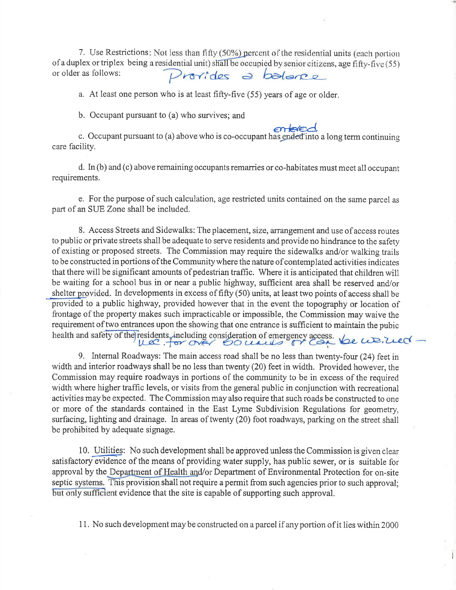7. Use Restrictions : Not less than fifty (50%) percent of the residential units (each portion of a duplex or triplex being a residential unit) shall be occupied by senior citizens, age fifty-five (55) or older as follows: or older as follows:

a. At least one person who is at least fifty-five (55) years of age or older.

b. Occupant pursuant to (a) who survives; and

c. Occupant pursuant to (a) above who is co-occupant has ended into a long term continuing care facility.

d. In (b) and (c) above remaining occupants remarries or co-habitates must meet all occupant requirements.

e. For the purpose of such calculation, age restricted units contained on the same parcel as part of an SIIE Zone shall be included.

8. Access Streets and Sidewalks: The placement, size, arrangement and use of access routes to public or private streets shall be adequate to serve residents and provide no hindrance to the safety of existing or proposed streets. The Commission may require the sidewalks and/or walking trails to be constructed in portions ofthe Communitywhere the nature of contemplated activities indicates that there will be significant amounts of pedestrian traffic. Where it is anticipated that children will be waiting for a school bus in or near a public highway, sufficient area shall be reserved and/or shelter provided. In developments in excess of fifty (50) units, at least two points of access shall be provided to a public highway, provided however that in the event the topography or location of frontage of the property makes such impracticable or impossible, the Commission may waive the requirement of two entrances upon the showing that one entrance is sufficient to maintain the pubic health and safety of the residents, including consideration of emergency access. Let

9. Intemal Roadways: The main access road shall be no less than twenty-four (24) feet in width and interior roadways shall be no less than twenty (20) feet in width, Provided however, the Commission may require roadways in portions of the community to be in excess of the required width where higher traffic levels, or visits from the general public in conjunction with recreational activities may be expected. The Commission may also require that such roads be constructed to one or more of the standards contained in the East Lyme Subdivision Regulations for geometry, surfacing, lighting and drainage. In areas of twenty (20) foot roadways, parking on the street shall be prohibited by adequate signage.

10. Utilities: No such development shall be approved unless the Commission is given clear satisfactory evidence of the means of providing water supply, has public sewer, or is suitable for approval by the Department of Health and/or Department of Environmental Protection for on-site septic systems. This provision shall not require a permit from such agencies prior to such approval; but only sufficient evidence that the site is capable of supporting such approval.

1 1. No such development may be constructed on a parcel if any portion of it lies within 2000